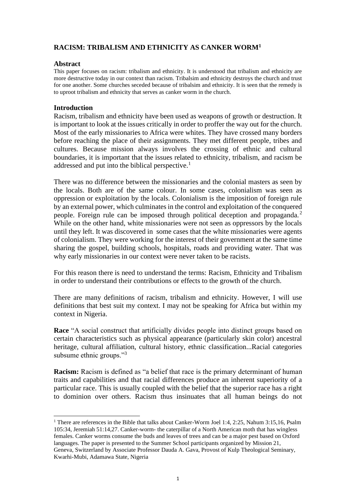# **RACISM: TRIBALISM AND ETHNICITY AS CANKER WORM<sup>1</sup>**

### **Abstract**

This paper focuses on racism: tribalism and ethnicity. It is understood that tribalism and ethnicity are more destructive today in our context than racism. Tribalsim and ethnicity destroys the church and trust for one another. Some churches seceded because of tribalsim and ethnicity. It is seen that the remedy is to uproot tribalism and ethnicity that serves as canker worm in the church.

### **Introduction**

Racism, tribalism and ethnicity have been used as weapons of growth or destruction. It is important to look at the issues critically in order to proffer the way out for the church. Most of the early missionaries to Africa were whites. They have crossed many borders before reaching the place of their assignments. They met different people, tribes and cultures. Because mission always involves the crossing of ethnic and cultural boundaries, it is important that the issues related to ethnicity, tribalism, and racism be addressed and put into the biblical perspective.<sup>1</sup>

There was no difference between the missionaries and the colonial masters as seen by the locals. Both are of the same colour. In some cases, colonialism was seen as oppression or exploitation by the locals. Colonialism is the imposition of foreign rule by an external power, which culminates in the control and exploitation of the conquered people. Foreign rule can be imposed through political deception and propaganda. <sup>2</sup> While on the other hand, white missionaries were not seen as oppressors by the locals until they left. It was discovered in some cases that the white missionaries were agents of colonialism. They were working for the interest of their government at the same time sharing the gospel, building schools, hospitals, roads and providing water. That was why early missionaries in our context were never taken to be racists.

For this reason there is need to understand the terms: Racism, Ethnicity and Tribalism in order to understand their contributions or effects to the growth of the church.

There are many definitions of racism, tribalism and ethnicity. However, I will use definitions that best suit my context. I may not be speaking for Africa but within my context in Nigeria.

**Race** "A social construct that artificially divides people into distinct groups based on certain characteristics such as physical appearance (particularly skin color) ancestral heritage, cultural affiliation, cultural history, ethnic classification...Racial categories subsume ethnic groups."<sup>3</sup>

**Racism:** Racism is defined as "a belief that race is the primary determinant of human traits and capabilities and that racial differences produce an inherent superiority of a particular race. This is usually coupled with the belief that the superior race has a right to dominion over others. Racism thus insinuates that all human beings do not

<sup>&</sup>lt;sup>1</sup> There are references in the Bible that talks about Canker-Worm Joel 1:4, 2:25, Nahum 3:15,16, Psalm 105:34, Jeremiah 51:14,27. Canker-worm- the caterpillar of a North American moth that has wingless females. Canker worms consume the buds and leaves of trees and can be a major pest based on Oxford languages. The paper is presented to the Summer School participants organized by Mission 21, Geneva, Switzerland by Associate Professor Dauda A. Gava, Provost of Kulp Theological Seminary, Kwarhi-Mubi, Adamawa State, Nigeria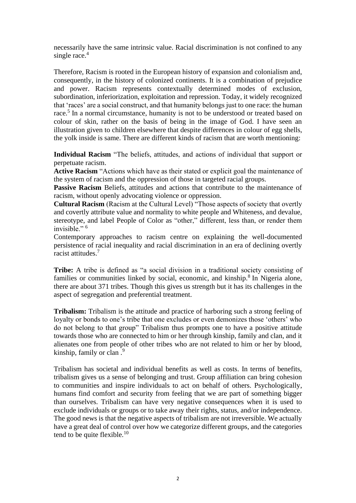necessarily have the same intrinsic value. Racial discrimination is not confined to any single race.<sup>4</sup>

Therefore, Racism is rooted in the European history of expansion and colonialism and, consequently, in the history of colonized continents. It is a combination of prejudice and power. Racism represents contextually determined modes of exclusion, subordination, inferiorization, exploitation and repression. Today, it widely recognized that 'races' are a social construct, and that humanity belongs just to one race: the human race.<sup>5</sup> In a normal circumstance, humanity is not to be understood or treated based on colour of skin, rather on the basis of being in the image of God. I have seen an illustration given to children elsewhere that despite differences in colour of egg shells, the yolk inside is same. There are different kinds of racism that are worth mentioning:

**Individual Racism** "The beliefs, attitudes, and actions of individual that support or perpetuate racism.

**Active Racism** "Actions which have as their stated or explicit goal the maintenance of the system of racism and the oppression of those in targeted racial groups.

**Passive Racism** Beliefs, attitudes and actions that contribute to the maintenance of racism, without openly advocating violence or oppression.

**Cultural Racism** (Racism at the Cultural Level) "Those aspects of society that overtly and covertly attribute value and normality to white people and Whiteness, and devalue, stereotype, and label People of Color as "other," different, less than, or render them invisible." $6$ 

Contemporary approaches to racism centre on explaining the well-documented persistence of racial inequality and racial discrimination in an era of declining overtly racist attitudes.<sup>7</sup>

**Tribe:** A tribe is defined as "a social division in a traditional society consisting of families or communities linked by social, economic, and kinship.<sup>8</sup> In Nigeria alone, there are about 371 tribes. Though this gives us strength but it has its challenges in the aspect of segregation and preferential treatment.

**Tribalism:** Tribalism is the attitude and practice of harboring such a strong feeling of loyalty or bonds to one's tribe that one excludes or even demonizes those 'others' who do not belong to that group" Tribalism thus prompts one to have a positive attitude towards those who are connected to him or her through kinship, family and clan, and it alienates one from people of other tribes who are not related to him or her by blood, kinship, family or clan .<sup>9</sup>

Tribalism has societal and individual benefits as well as costs. In terms of benefits, tribalism gives us a sense of belonging and trust. Group affiliation can bring cohesion to communities and inspire individuals to act on behalf of others. Psychologically, humans find comfort and security from feeling that we are part of something bigger than ourselves. Tribalism can have very negative consequences when it is used to exclude individuals or groups or to take away their rights, status, and/or independence. The good news is that the negative aspects of tribalism are not irreversible. We actually have a great deal of control over how we categorize different groups, and the categories tend to be quite flexible. $10$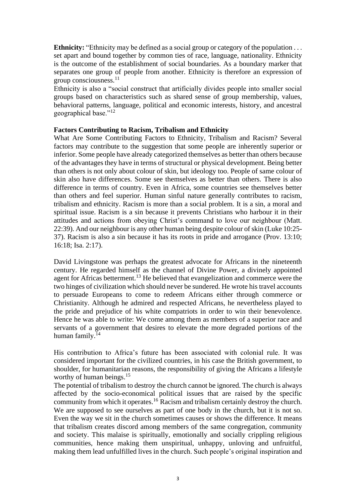**Ethnicity:** "Ethnicity may be defined as a social group or category of the population . . . set apart and bound together by common ties of race, language, nationality. Ethnicity is the outcome of the establishment of social boundaries. As a boundary marker that separates one group of people from another. Ethnicity is therefore an expression of group consciousness.<sup>11</sup>

Ethnicity is also a "social construct that artificially divides people into smaller social groups based on characteristics such as shared sense of group membership, values, behavioral patterns, language, political and economic interests, history, and ancestral geographical base."<sup>12</sup>

## **Factors Contributing to Racism, Tribalism and Ethnicity**

What Are Some Contributing Factors to Ethnicity, Tribalism and Racism? Several factors may contribute to the suggestion that some people are inherently superior or inferior. Some people have already categorized themselves as better than others because of the advantages they have in terms of structural or physical development. Being better than others is not only about colour of skin, but ideology too. People of same colour of skin also have differences. Some see themselves as better than others. There is also difference in terms of country. Even in Africa, some countries see themselves better than others and feel superior. Human sinful nature generally contributes to racism, tribalism and ethnicity. Racism is more than a social problem. It is a sin, a moral and spiritual issue. Racism is a sin because it prevents Christians who harbour it in their attitudes and actions from obeying Christ's command to love our neighbour (Matt. 22:39). And our neighbour is any other human being despite colour of skin (Luke 10:25- 37). Racism is also a sin because it has its roots in pride and arrogance (Prov. 13:10; 16:18; Isa. 2:17).

David Livingstone was perhaps the greatest advocate for Africans in the nineteenth century. He regarded himself as the channel of Divine Power, a divinely appointed agent for Africas betterment.<sup>13</sup> He believed that evangelization and commerce were the two hinges of civilization which should never be sundered. He wrote his travel accounts to persuade Europeans to come to redeem Africans either through commerce or Christianity. Although he admired and respected Africans, he nevertheless played to the pride and prejudice of his white compatriots in order to win their benevolence. Hence he was able to write: We come among them as members of a superior race and servants of a government that desires to elevate the more degraded portions of the human family. $14$ 

His contribution to Africa's future has been associated with colonial rule. It was considered important for the civilized countries, in his case the British government, to shoulder, for humanitarian reasons, the responsibility of giving the Africans a lifestyle worthy of human beings.<sup>15</sup>

The potential of tribalism to destroy the church cannot be ignored. The church is always affected by the socio-economical political issues that are raised by the specific community from which it operates.<sup>16</sup> Racism and tribalism certainly destroy the church. We are supposed to see ourselves as part of one body in the church, but it is not so. Even the way we sit in the church sometimes causes or shows the difference. It means that tribalism creates discord among members of the same congregation, community and society. This malaise is spiritually, emotionally and socially crippling religious communities, hence making them unspiritual, unhappy, unloving and unfruitful, making them lead unfulfilled lives in the church. Such people's original inspiration and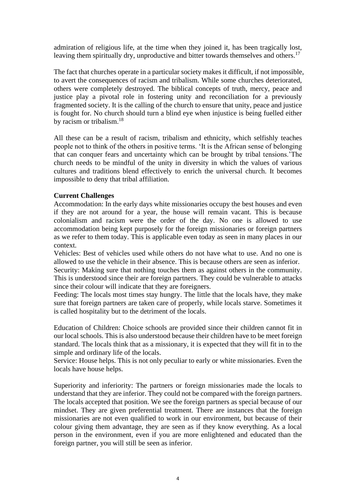admiration of religious life, at the time when they joined it, has been tragically lost, leaving them spiritually dry, unproductive and bitter towards themselves and others.<sup>17</sup>

The fact that churches operate in a particular society makes it difficult, if not impossible, to avert the consequences of racism and tribalism. While some churches deteriorated, others were completely destroyed. The biblical concepts of truth, mercy, peace and justice play a pivotal role in fostering unity and reconciliation for a previously fragmented society. It is the calling of the church to ensure that unity, peace and justice is fought for. No church should turn a blind eye when injustice is being fuelled either by racism or tribalism.<sup>18</sup>

All these can be a result of racism, tribalism and ethnicity, which selfishly teaches people not to think of the others in positive terms. 'It is the African sense of belonging that can conquer fears and uncertainty which can be brought by tribal tensions.'The church needs to be mindful of the unity in diversity in which the values of various cultures and traditions blend effectively to enrich the universal church. It becomes impossible to deny that tribal affiliation.

## **Current Challenges**

Accommodation: In the early days white missionaries occupy the best houses and even if they are not around for a year, the house will remain vacant. This is because colonialism and racism were the order of the day. No one is allowed to use accommodation being kept purposely for the foreign missionaries or foreign partners as we refer to them today. This is applicable even today as seen in many places in our context.

Vehicles: Best of vehicles used while others do not have what to use. And no one is allowed to use the vehicle in their absence. This is because others are seen as inferior.

Security: Making sure that nothing touches them as against others in the community. This is understood since their are foreign partners. They could be vulnerable to attacks since their colour will indicate that they are foreigners.

Feeding: The locals most times stay hungry. The little that the locals have, they make sure that foreign partners are taken care of properly, while locals starve. Sometimes it is called hospitality but to the detriment of the locals.

Education of Children: Choice schools are provided since their children cannot fit in our local schools. This is also understood because their children have to be meet foreign standard. The locals think that as a missionary, it is expected that they will fit in to the simple and ordinary life of the locals.

Service: House helps. This is not only peculiar to early or white missionaries. Even the locals have house helps.

Superiority and inferiority: The partners or foreign missionaries made the locals to understand that they are inferior. They could not be compared with the foreign partners. The locals accepted that position. We see the foreign partners as special because of our mindset. They are given preferential treatment. There are instances that the foreign missionaries are not even qualified to work in our environment, but because of their colour giving them advantage, they are seen as if they know everything. As a local person in the environment, even if you are more enlightened and educated than the foreign partner, you will still be seen as inferior.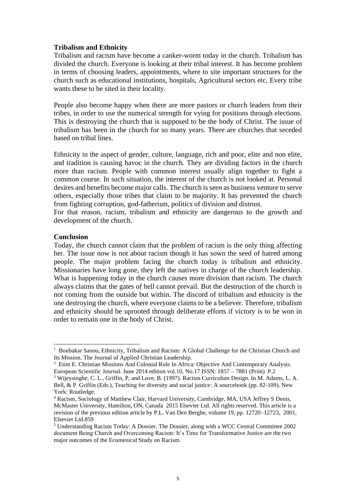### **Tribalism and Ethnicity**

Tribalism and racism have become a canker-worm today in the church. Tribalism has divided the church. Everyone is looking at their tribal interest. It has become problem in terms of choosing leaders, appointments, where to site important structures for the church such as educational institutions, hospitals, Agricultural sectors etc. Every tribe wants these to be sited in their locality.

People also become happy when there are more pastors or church leaders from their tribes, in order to use the numerical strength for vying for positions through elections. This is destroying the church that is supposed to be the body of Christ. The issue of tribalism has been in the church for so many years. There are churches that seceded based on tribal lines.

Ethnicity in the aspect of gender, culture, language, rich and poor, elite and non elite, and tradition is causing havoc in the church. They are dividing factors in the church more than racism. People with common interest usually align together to fight a common course. In such situation, the interest of the church is not looked at. Personal desires and benefits become major calls. The church is seen as business venture to serve others, especially those tribes that claim to be majority. It has prevented the church from fighting corruption, god-fatherism, politics of division and distrust.

For that reason, racism, tribalism and ethnicity are dangerous to the growth and development of the church.

### **Conclusion**

Today, the church cannot claim that the problem of racism is the only thing affecting her. The issue now is not about racism though it has sown the seed of hatred among people. The major problem facing the church today is tribalism and ethnicity. Missionaries have long gone, they left the natives in charge of the church leadership. What is happening today in the church causes more division than racism. The church always claims that the gates of hell cannot prevail. But the destruction of the church is not coming from the outside but within. The discord of tribalism and ethnicity is the one destroying the church, where everyone claims to be a believer. Therefore, tribalism and ethnicity should be uprooted through deliberate efforts if victory is to be won in order to remain one in the body of Christ.

<sup>&</sup>lt;sup>1</sup> Boubakar Sanou, Ethnicity, Tribalism and Racism: A Global Challenge for the Christian Church and Its Mission. The Journal of Applied Christian Leadership.

<sup>2</sup> Etim E. Christian Missions And Colonial Rule In Africa: Objective And Contemporary Analysis. European Scientific Journal. June 2014 edition vol.10, No.17 ISSN: 1857 – 7881 (Print) P.2

<sup>&</sup>lt;sup>3</sup> Wijeysinghe, C. L., Griffin, P, and Love, B. (1997). Racism Curriculum Design. In M. Adams, L. A. Bell, & P. Griffin (Eds.), Teaching for diversity and social justice: A sourcebook (pp. 82-109). New York: Routledge.

<sup>4</sup> Racism, Sociology of Matthew Clair, Harvard University, Cambridge, MA, USA Jeffrey S Denis, McMaster University, Hamilton, ON, Canada 2015 Elsevier Ltd. All rights reserved. This article is a revision of the previous edition article by P.L. Van Den Berghe, volume 19, pp. 12720–12723, 2001, Elsevier Ltd.859

<sup>5</sup> Understanding Racism Today: A Dossier. The Dossier, along with a WCC Central Committee 2002 document Being Church and Overcoming Racism: It's Time for Transformative Justice are the two major outcomes of the Ecumenical Study on Racism.